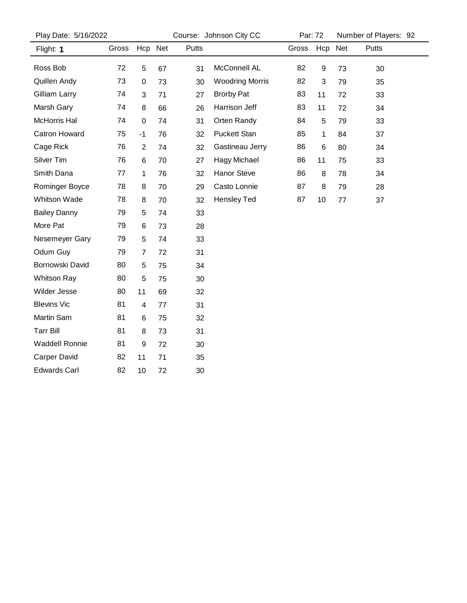| Play Date: 5/16/2022 |                  |    |         | Par: 72                |                         | Number of Players: 92 |    |         |  |
|----------------------|------------------|----|---------|------------------------|-------------------------|-----------------------|----|---------|--|
| Gross                |                  |    | Putts   |                        | Gross                   |                       |    | Putts   |  |
| 72                   | 5                | 67 | 31      | McConnell AL           | 82                      | 9                     | 73 | 30      |  |
| 73                   | $\boldsymbol{0}$ | 73 | 30      | <b>Woodring Morris</b> | 82                      | 3                     | 79 | 35      |  |
| 74                   | 3                | 71 | 27      | <b>Brorby Pat</b>      | 83                      | 11                    | 72 | 33      |  |
| 74                   | 8                | 66 | 26      | Harrison Jeff          | 83                      | 11                    | 72 | 34      |  |
| 74                   | $\mathbf 0$      | 74 | 31      | Orten Randy            | 84                      | 5                     | 79 | 33      |  |
| 75                   | $-1$             | 76 | 32      | <b>Puckett Stan</b>    | 85                      | 1                     | 84 | 37      |  |
| 76                   | $\overline{2}$   | 74 | 32      | Gastineau Jerry        | 86                      | 6                     | 80 | 34      |  |
| 76                   | 6                | 70 | 27      | Hagy Michael           | 86                      | 11                    | 75 | 33      |  |
| 77                   | 1                | 76 | 32      | Hanor Steve            | 86                      | 8                     | 78 | 34      |  |
| 78                   | 8                | 70 | 29      | Casto Lonnie           | 87                      | 8                     | 79 | 28      |  |
| 78                   | 8                | 70 | 32      | Hensley Ted            | 87                      | 10                    | 77 | 37      |  |
| 79                   | 5                | 74 | 33      |                        |                         |                       |    |         |  |
| 79                   | 6                | 73 | 28      |                        |                         |                       |    |         |  |
| 79                   | 5                | 74 | 33      |                        |                         |                       |    |         |  |
| 79                   | $\overline{7}$   | 72 | 31      |                        |                         |                       |    |         |  |
| 80                   | 5                | 75 | 34      |                        |                         |                       |    |         |  |
| 80                   | 5                | 75 | 30      |                        |                         |                       |    |         |  |
| 80                   | 11               | 69 | 32      |                        |                         |                       |    |         |  |
| 81                   | 4                | 77 | 31      |                        |                         |                       |    |         |  |
| 81                   | 6                | 75 | 32      |                        |                         |                       |    |         |  |
| 81                   | 8                | 73 | 31      |                        |                         |                       |    |         |  |
| 81                   | 9                | 72 | 30      |                        |                         |                       |    |         |  |
| 82                   | 11               | 71 | 35      |                        |                         |                       |    |         |  |
| 82                   | 10               | 72 | 30      |                        |                         |                       |    |         |  |
|                      |                  |    | Hcp Net |                        | Course: Johnson City CC |                       |    | Hcp Net |  |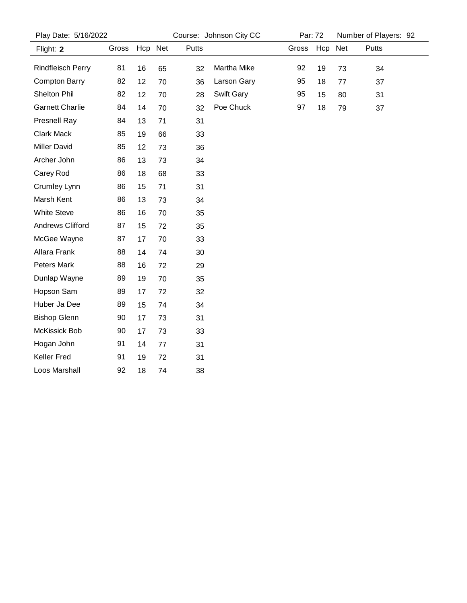| Play Date: 5/16/2022   |       | Course: Johnson City CC |    |       |                   | Par: 72 |    | Number of Players: 92 |       |  |
|------------------------|-------|-------------------------|----|-------|-------------------|---------|----|-----------------------|-------|--|
| Flight: 2              | Gross | Hcp Net                 |    | Putts |                   | Gross   |    | Hcp Net               | Putts |  |
| Rindfleisch Perry      | 81    | 16                      | 65 | 32    | Martha Mike       | 92      | 19 | 73                    | 34    |  |
| <b>Compton Barry</b>   | 82    | 12                      | 70 | 36    | Larson Gary       | 95      | 18 | 77                    | 37    |  |
| Shelton Phil           | 82    | 12                      | 70 | 28    | <b>Swift Gary</b> | 95      | 15 | 80                    | 31    |  |
| <b>Garnett Charlie</b> | 84    | 14                      | 70 | 32    | Poe Chuck         | 97      | 18 | 79                    | 37    |  |
| Presnell Ray           | 84    | 13                      | 71 | 31    |                   |         |    |                       |       |  |
| <b>Clark Mack</b>      | 85    | 19                      | 66 | 33    |                   |         |    |                       |       |  |
| <b>Miller David</b>    | 85    | 12                      | 73 | 36    |                   |         |    |                       |       |  |
| Archer John            | 86    | 13                      | 73 | 34    |                   |         |    |                       |       |  |
| Carey Rod              | 86    | 18                      | 68 | 33    |                   |         |    |                       |       |  |
| Crumley Lynn           | 86    | 15                      | 71 | 31    |                   |         |    |                       |       |  |
| Marsh Kent             | 86    | 13                      | 73 | 34    |                   |         |    |                       |       |  |
| White Steve            | 86    | 16                      | 70 | 35    |                   |         |    |                       |       |  |
| Andrews Clifford       | 87    | 15                      | 72 | 35    |                   |         |    |                       |       |  |
| McGee Wayne            | 87    | 17                      | 70 | 33    |                   |         |    |                       |       |  |
| Allara Frank           | 88    | 14                      | 74 | 30    |                   |         |    |                       |       |  |
| Peters Mark            | 88    | 16                      | 72 | 29    |                   |         |    |                       |       |  |
| Dunlap Wayne           | 89    | 19                      | 70 | 35    |                   |         |    |                       |       |  |
| Hopson Sam             | 89    | 17                      | 72 | 32    |                   |         |    |                       |       |  |
| Huber Ja Dee           | 89    | 15                      | 74 | 34    |                   |         |    |                       |       |  |
| <b>Bishop Glenn</b>    | 90    | 17                      | 73 | 31    |                   |         |    |                       |       |  |
| McKissick Bob          | 90    | 17                      | 73 | 33    |                   |         |    |                       |       |  |
| Hogan John             | 91    | 14                      | 77 | 31    |                   |         |    |                       |       |  |
| Keller Fred            | 91    | 19                      | 72 | 31    |                   |         |    |                       |       |  |
| Loos Marshall          | 92    | 18                      | 74 | 38    |                   |         |    |                       |       |  |